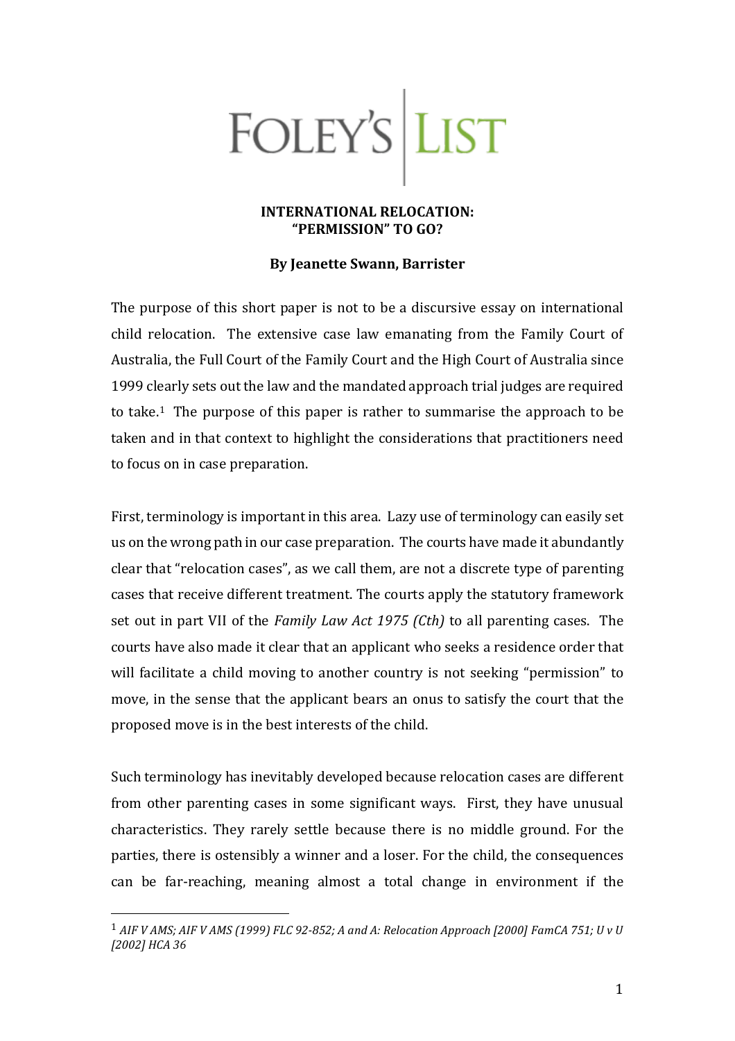## FOLEY'S LIST

## **INTERNATIONAL RELOCATION: "PERMISSION" TO GO?**

## **By Jeanette Swann, Barrister**

The purpose of this short paper is not to be a discursive essay on international child relocation. The extensive case law emanating from the Family Court of Australia, the Full Court of the Family Court and the High Court of Australia since 1999 clearly sets out the law and the mandated approach trial judges are required to take.<sup>1</sup> The purpose of this paper is rather to summarise the approach to be taken and in that context to highlight the considerations that practitioners need to focus on in case preparation.

First, terminology is important in this area. Lazy use of terminology can easily set us on the wrong path in our case preparation. The courts have made it abundantly clear that "relocation cases", as we call them, are not a discrete type of parenting cases that receive different treatment. The courts apply the statutory framework set out in part VII of the *Family Law Act 1975 (Cth)* to all parenting cases. The courts have also made it clear that an applicant who seeks a residence order that will facilitate a child moving to another country is not seeking "permission" to move, in the sense that the applicant bears an onus to satisfy the court that the proposed move is in the best interests of the child.

Such terminology has inevitably developed because relocation cases are different from other parenting cases in some significant ways. First, they have unusual characteristics. They rarely settle because there is no middle ground. For the parties, there is ostensibly a winner and a loser. For the child, the consequences can be far-reaching, meaning almost a total change in environment if the

<span id="page-0-0"></span><sup>1</sup> *AIF V AMS; AIF V AMS (1999) FLC 92-852; A and A: Relocation Approach [2000] FamCA 751; U v U [2002] HCA 36*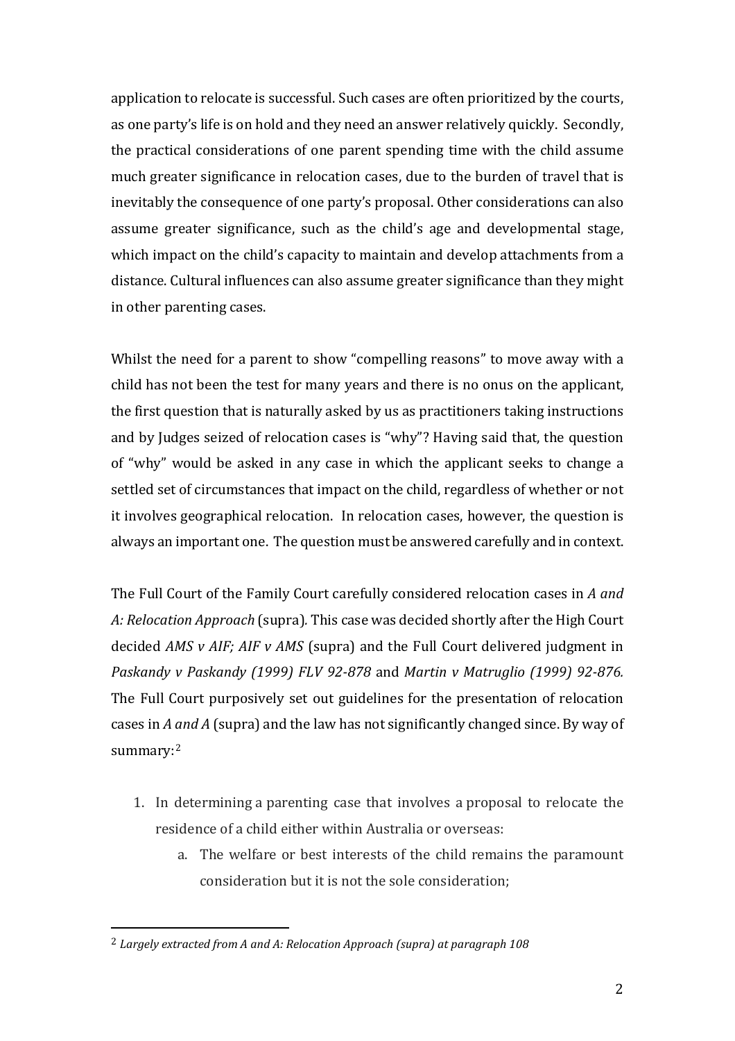application to relocate is successful. Such cases are often prioritized by the courts, as one party's life is on hold and they need an answer relatively quickly. Secondly, the practical considerations of one parent spending time with the child assume much greater significance in relocation cases, due to the burden of travel that is inevitably the consequence of one party's proposal. Other considerations can also assume greater significance, such as the child's age and developmental stage, which impact on the child's capacity to maintain and develop attachments from a distance. Cultural influences can also assume greater significance than they might in other parenting cases.

Whilst the need for a parent to show "compelling reasons" to move away with a child has not been the test for many years and there is no onus on the applicant, the first question that is naturally asked by us as practitioners taking instructions and by Judges seized of relocation cases is "why"? Having said that, the question of "why" would be asked in any case in which the applicant seeks to change a settled set of circumstances that impact on the child, regardless of whether or not it involves geographical relocation. In relocation cases, however, the question is always an important one. The question must be answered carefully and in context.

The Full Court of the Family Court carefully considered relocation cases in *A and A: Relocation Approach* (supra)*.* This case was decided shortly after the High Court decided *AMS v AIF; AIF v AMS* (supra) and the Full Court delivered judgment in *Paskandy v Paskandy (1999) FLV 92-878* and *Martin v Matruglio (1999) 92-876.*  The Full Court purposively set out guidelines for the presentation of relocation cases in *A and A* (supra) and the law has not significantly changed since. By way of summary:[2](#page-1-0)

- 1. In determining a parenting case that involves a proposal to relocate the residence of a child either within Australia or overseas:
	- a. The welfare or best interests of the child remains the paramount consideration but it is not the sole consideration;

<span id="page-1-0"></span><sup>2</sup> *Largely extracted from A and A: Relocation Approach (supra) at paragraph 108*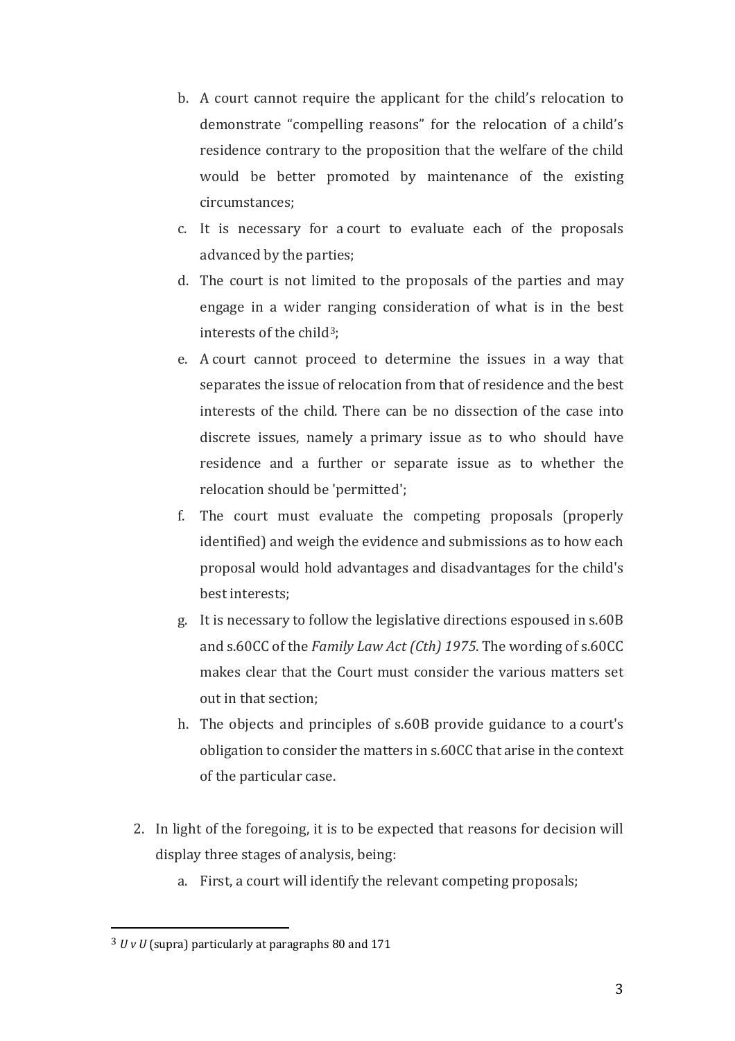- b. A court cannot require the applicant for the child's relocation to demonstrate "compelling reasons" for the relocation of a child's residence contrary to the proposition that the welfare of the child would be better promoted by maintenance of the existing circumstances;
- c. It is necessary for a court to evaluate each of the proposals advanced by the parties;
- d. The court is not limited to the proposals of the parties and may engage in a wider ranging consideration of what is in the best interests of the child<sup>3</sup>;
- e. A court cannot proceed to determine the issues in a way that separates the issue of relocation from that of residence and the best interests of the child. There can be no dissection of the case into discrete issues, namely a primary issue as to who should have residence and a further or separate issue as to whether the relocation should be 'permitted';
- f. The court must evaluate the competing proposals (properly identified) and weigh the evidence and submissions as to how each proposal would hold advantages and disadvantages for the child's best interests;
- g. It is necessary to follow the legislative directions espoused in s.60B and s.60CC of the *Family Law Act (Cth) 1975*. The wording of s.60CC makes clear that the Court must consider the various matters set out in that section;
- h. The objects and principles of s.60B provide guidance to a court's obligation to consider the matters in s.60CC that arise in the context of the particular case.
- 2. In light of the foregoing, it is to be expected that reasons for decision will display three stages of analysis, being:
	- a. First, a court will identify the relevant competing proposals;

<span id="page-2-0"></span><sup>3</sup> *U v U* (supra) particularly at paragraphs 80 and 171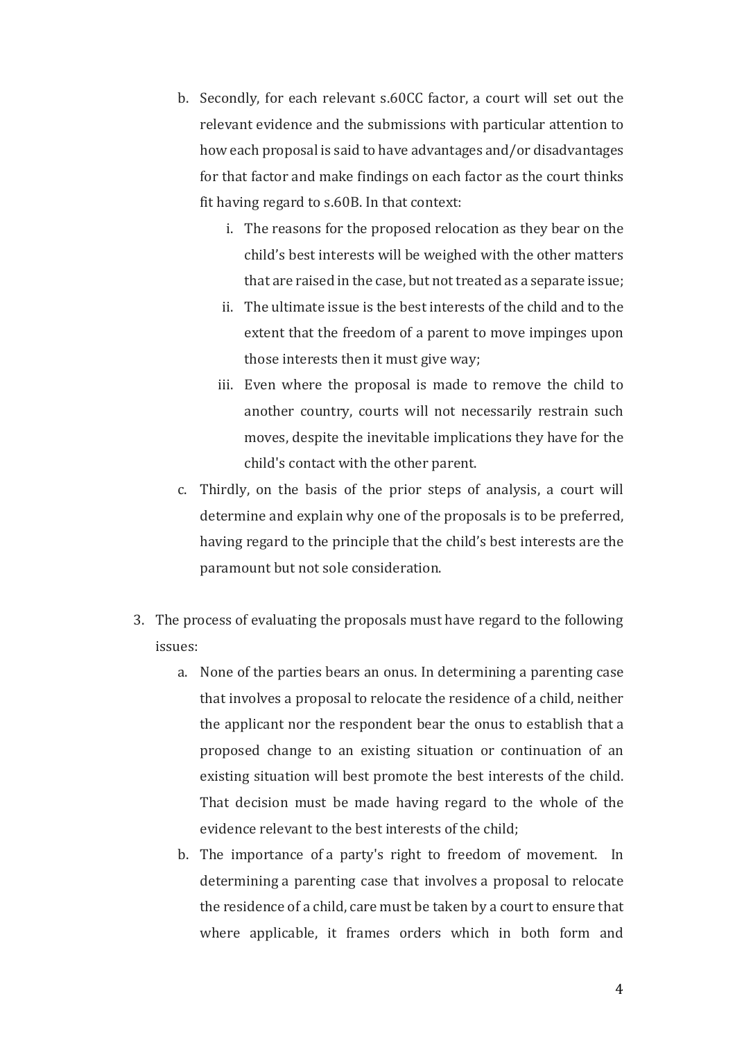- b. Secondly, for each relevant s.60CC factor, a court will set out the relevant evidence and the submissions with particular attention to how each proposal is said to have advantages and/or disadvantages for that factor and make findings on each factor as the court thinks fit having regard to s.60B. In that context:
	- i. The reasons for the proposed relocation as they bear on the child's best interests will be weighed with the other matters that are raised in the case, but not treated as a separate issue;
	- ii. The ultimate issue is the best interests of the child and to the extent that the freedom of a parent to move impinges upon those interests then it must give way;
	- iii. Even where the proposal is made to remove the child to another country, courts will not necessarily restrain such moves, despite the inevitable implications they have for the child's contact with the other parent.
- c. Thirdly, on the basis of the prior steps of analysis, a court will determine and explain why one of the proposals is to be preferred, having regard to the principle that the child's best interests are the paramount but not sole consideration.
- 3. The process of evaluating the proposals must have regard to the following issues:
	- a. None of the parties bears an onus. In determining a parenting case that involves a proposal to relocate the residence of a child, neither the applicant nor the respondent bear the onus to establish that a proposed change to an existing situation or continuation of an existing situation will best promote the best interests of the child. That decision must be made having regard to the whole of the evidence relevant to the best interests of the child;
	- b. The importance of a party's right to freedom of movement. In determining a parenting case that involves a proposal to relocate the residence of a child, care must be taken by a court to ensure that where applicable, it frames orders which in both form and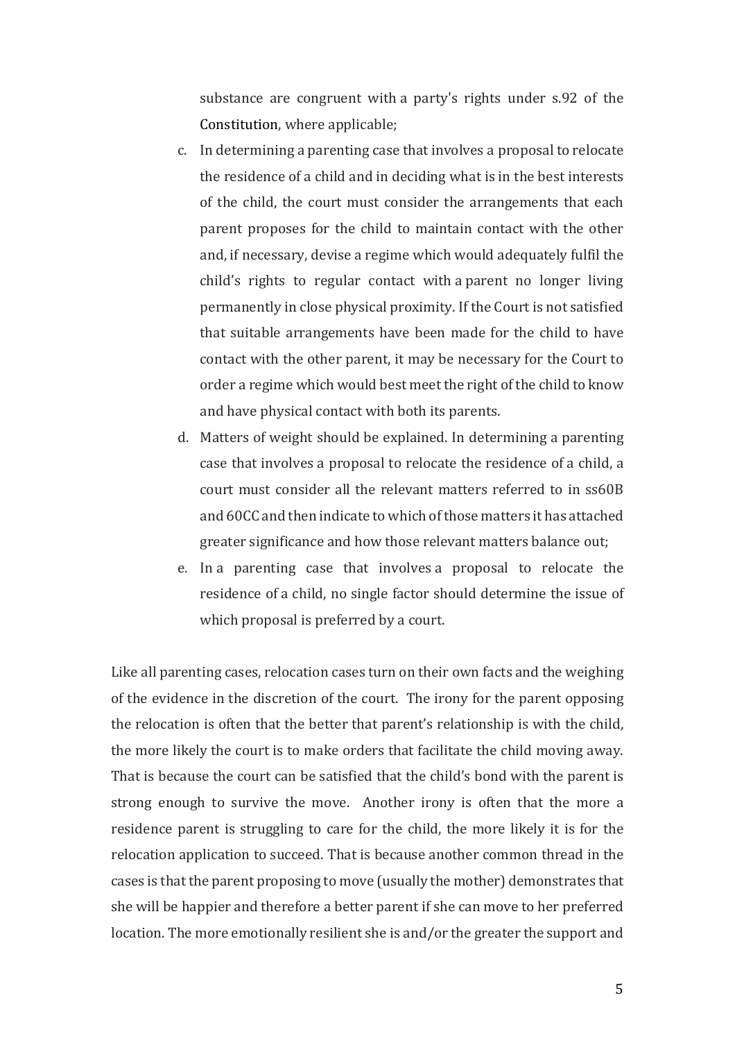substance are congruent with a party's rights under s.92 of the Constitution, where applicable;

- c. In determining a parenting case that involves a proposal to relocate the residence of a child and in deciding what is in the best interests of the child, the court must consider the arrangements that each parent proposes for the child to maintain contact with the other and, if necessary, devise a regime which would adequately fulfil the child's rights to regular contact with a parent no longer living permanently in close physical proximity. If the Court is not satisfied that suitable arrangements have been made for the child to have contact with the other parent, it may be necessary for the Court to order a regime which would best meet the right of the child to know and have physical contact with both its parents.
- d. Matters of weight should be explained. In determining a parenting case that involves a proposal to relocate the residence of a child, a court must consider all the relevant matters referred to in ss60B and 60CC and then indicate to which of those matters it has attached greater significance and how those relevant matters balance out;
- e. In a parenting case that involves a proposal to relocate the residence of a child, no single factor should determine the issue of which proposal is preferred by a court.

Like all parenting cases, relocation cases turn on their own facts and the weighing of the evidence in the discretion of the court. The irony for the parent opposing the relocation is often that the better that parent's relationship is with the child, the more likely the court is to make orders that facilitate the child moving away. That is because the court can be satisfied that the child's bond with the parent is strong enough to survive the move. Another irony is often that the more a residence parent is struggling to care for the child, the more likely it is for the relocation application to succeed. That is because another common thread in the cases is that the parent proposing to move (usually the mother) demonstrates that she will be happier and therefore a better parent if she can move to her preferred location. The more emotionally resilient she is and/or the greater the support and